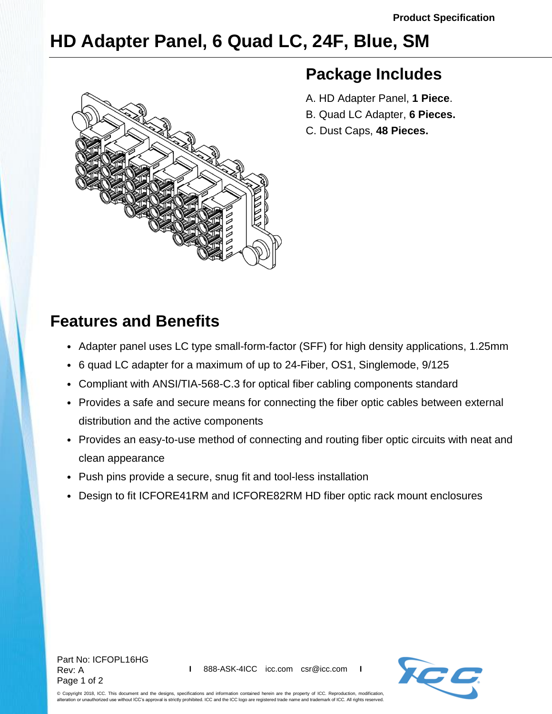# **HD Adapter Panel, 6 Quad LC, 24F, Blue, SM**



### **Package Includes**

- A. HD Adapter Panel, **1 Piece**.
- B. Quad LC Adapter, **6 Pieces.**
- C. Dust Caps, **48 Pieces.**

## **Features and Benefits**

- Adapter panel uses LC type small-form-factor (SFF) for high density applications, 1.25mm
- 6 quad LC adapter for a maximum of up to 24-Fiber, OS1, Singlemode, 9/125
- Compliant with ANSI/TIA-568-C.3 for optical fiber cabling components standard
- Provides a safe and secure means for connecting the fiber optic cables between external distribution and the active components
- Provides an easy-to-use method of connecting and routing fiber optic circuits with neat and clean appearance
- Push pins provide a secure, snug fit and tool-less installation
- Design to fit ICFORE41RM and ICFORE82RM HD fiber optic rack mount enclosures

Part No: ICFOPL16HG Rev: A Page 1 of 2



© Copyright 2018, ICC. This document and the designs, specifications and information contained herein are the property of ICC. Reproduction, modification, alteration or unauthorized use without ICC's approval is strictly prohibited. ICC and the ICC logo are registered trade name and trademark of ICC. All rights reserved.